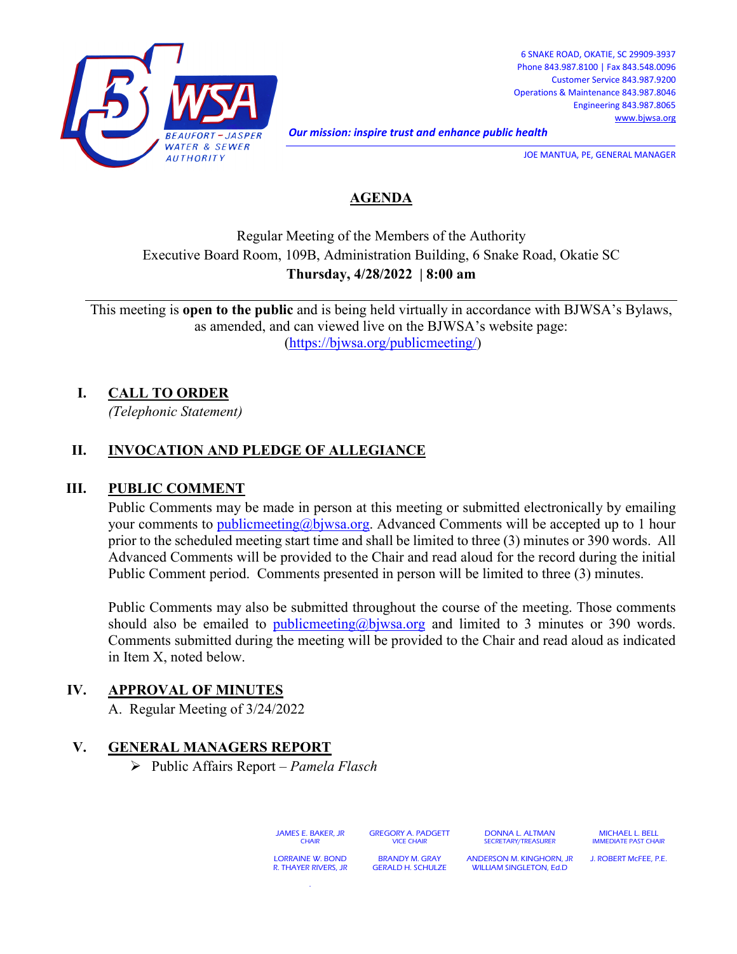

6 SNAKE ROAD, OKATIE, SC 29909-3937 Phone 843.987.8100 | Fax 843.548.0096 Customer Service 843.987.9200 Operations & Maintenance 843.987.8046 Engineering 843.987.8065 [www.bjwsa.org](http://www.bjwsa.org/)

*Our mission: inspire trust and enhance public health* 

JOE MANTUA, PE, GENERAL MANAGER

# **AGENDA**

# Regular Meeting of the Members of the Authority Executive Board Room, 109B, Administration Building, 6 Snake Road, Okatie SC **Thursday, 4/28/2022 | 8:00 am**

This meeting is **open to the public** and is being held virtually in accordance with BJWSA's Bylaws, as amended, and can viewed live on the BJWSA's website page: [\(https://bjwsa.org/publicmeeting/\)](https://bjwsa.org/publicmeeting/)

## **I. CALL TO ORDER**

*(Telephonic Statement)*

## **II. INVOCATION AND PLEDGE OF ALLEGIANCE**

#### **III. PUBLIC COMMENT**

Public Comments may be made in person at this meeting or submitted electronically by emailing your comments to [publicmeeting@bjwsa.org.](mailto:publicmeeting@bjwsa.org) Advanced Comments will be accepted up to 1 hour prior to the scheduled meeting start time and shall be limited to three (3) minutes or 390 words. All Advanced Comments will be provided to the Chair and read aloud for the record during the initial Public Comment period. Comments presented in person will be limited to three (3) minutes.

Public Comments may also be submitted throughout the course of the meeting. Those comments should also be emailed to [publicmeeting@bjwsa.org](mailto:publicmeeting@bjwsa.org) and limited to 3 minutes or 390 words. Comments submitted during the meeting will be provided to the Chair and read aloud as indicated in Item X, noted below.

## **IV. APPROVAL OF MINUTES**

A. Regular Meeting of 3/24/2022

## **V. GENERAL MANAGERS REPORT**

Public Affairs Report – *Pamela Flasch*

.

JAMES E. BAKER, JR **CHAIR** GREGORY A. PADGETT VICE CHAIR DONNA L. ALTMAN SECRETARY/TREASURER LORRAINE W. BOND R. THAYER RIVERS, JR BRANDY M. GRAY GERALD H. SCHULZE ANDERSON M. KINGHORN, JR WILLIAM SINGLETON, Ed.D

MICHAEL L. BELL IMMEDIATE PAST CHAIR

J. ROBERT McFEE, P.E.